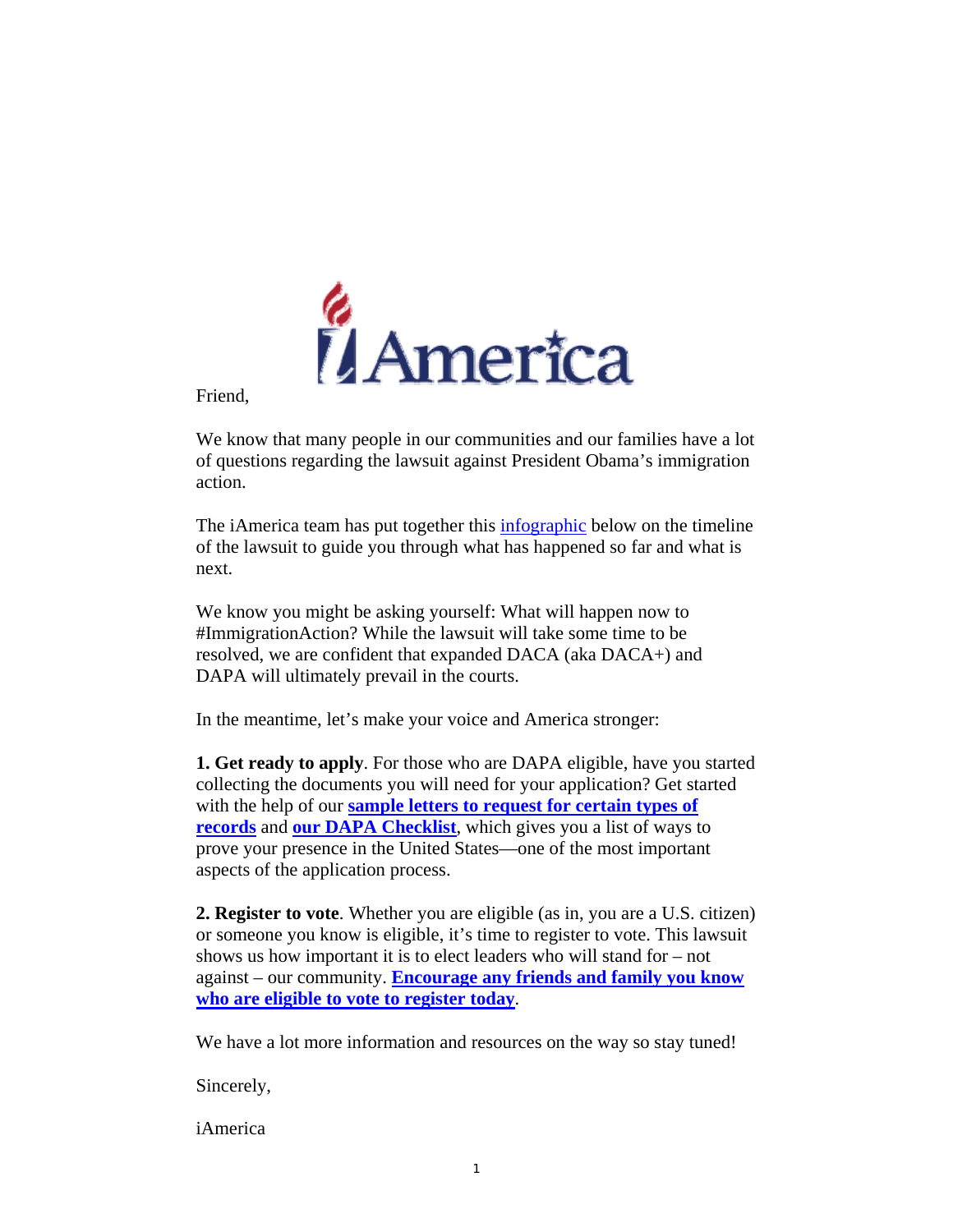

Friend,

We know that many people in our communities and our families have a lot of questions regarding the lawsuit against President Obama's immigration action.

The iAmerica team has put together this *infographic* below on the timeline of the lawsuit to guide you through what has happened so far and what is next.

We know you might be asking yourself: What will happen now to #ImmigrationAction? While the lawsuit will take some time to be resolved, we are confident that expanded DACA (aka DACA+) and DAPA will ultimately prevail in the courts.

In the meantime, let's make your voice and America stronger:

**1. Get ready to apply**. For those who are DAPA eligible, have you started collecting the documents you will need for your application? Get started with the help of our **sample letters to request for certain types of records** and **our DAPA Checklist**, which gives you a list of ways to prove your presence in the United States—one of the most important aspects of the application process.

**2. Register to vote**. Whether you are eligible (as in, you are a U.S. citizen) or someone you know is eligible, it's time to register to vote. This lawsuit shows us how important it is to elect leaders who will stand for – not against – our community. **Encourage any friends and family you know who are eligible to vote to register today**.

We have a lot more information and resources on the way so stay tuned!

Sincerely,

iAmerica